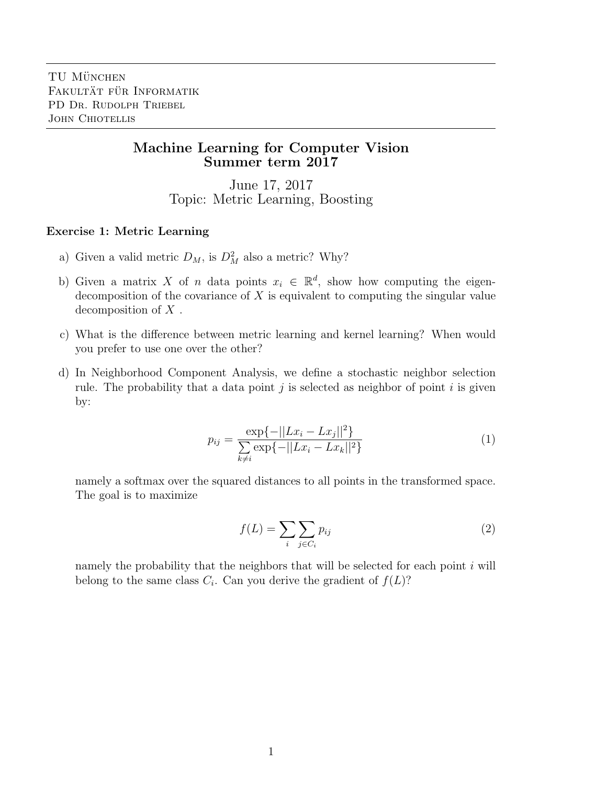## Machine Learning for Computer Vision Summer term 2017

June 17, 2017 Topic: Metric Learning, Boosting

## Exercise 1: Metric Learning

- a) Given a valid metric  $D_M$ , is  $D_M^2$  also a metric? Why?
- b) Given a matrix X of n data points  $x_i \in \mathbb{R}^d$ , show how computing the eigendecomposition of the covariance of  $X$  is equivalent to computing the singular value decomposition of  $X$ .
- c) What is the difference between metric learning and kernel learning? When would you prefer to use one over the other?
- d) In Neighborhood Component Analysis, we define a stochastic neighbor selection rule. The probability that a data point  $j$  is selected as neighbor of point  $i$  is given by:

$$
p_{ij} = \frac{\exp\{-||Lx_i - Lx_j||^2\}}{\sum_{k \neq i} \exp\{-||Lx_i - Lx_k||^2\}}
$$
(1)

namely a softmax over the squared distances to all points in the transformed space. The goal is to maximize

$$
f(L) = \sum_{i} \sum_{j \in C_i} p_{ij} \tag{2}
$$

namely the probability that the neighbors that will be selected for each point  $i$  will belong to the same class  $C_i$ . Can you derive the gradient of  $f(L)$ ?